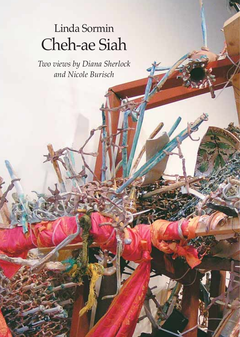## Linda Sormin Cheh-ae Siah

*Two views by Diana Sherlock and Nicole Burisch*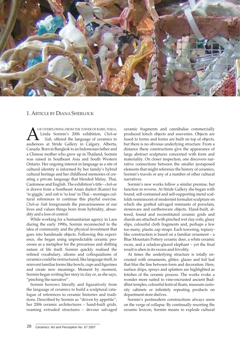

## 1. ARTICLE BY DIANA SHERLOCK

S IF OVERFLOWING FROM THE TOWER OF BABEL ITSELF,<br>Linda Sormin's 2006 exhibition, *Cheh-ae*<br>Siah, offered the language of ceramics to<br>audiences at Stride Gallery in Calgary Alberta Linda Sormin's 2006 exhibition, *Cheh-ae Siah*, offered the language of ceramics to audiences at Stride Gallery in Calgary, Alberta, Canada. Born in Bangkok to an Indonesian father and a Chinese mother who grew up in Thailand, Sormin was raised in Southeast Asia and South Western Ontario. Her ongoing interest in language as a site of cultural identity is informed by her family's hybrid cultural heritage and her childhood memories of creating a private language that blended Malay, Thai, Cantonese and English. The exhibition's title – *cheh-ae* is drawn from a Southeast Asian dialect (Karen) for 'to giggle,' and *siah* is 'to lose' in Thai – montages cultural references to continue this playful exercise. *Cheh-ae Siah* foregrounds the precariousness of our lives and values things born from hybridity, absurdity and a loss of control.

While working for a humanitarian agency in Laos during the early 1990s, Sormin reconnected to the idea of community and the physical investment that goes into handmade objects. Following this experience, she began using unpredictable ceramic processes as a metaphor for the precarious and shifting nature of life itself. Sormin quickly realised the refined vocabulary, idioms and colloquialisms of ceramics could be restructured, like language itself, to reinvent familiar forms like bowls, cups and figurines and create new meanings. Moment by moment, Sormin began writing her story in clay or, as she says, "pinching the narrative".

Sormin borrows literally and figuratively from the language of ceramics to build a sculptural catalogue of references to ceramic histories and traditions. Described by Sormin as "driven by appetite", her 2006 ceramic architectures – hand-built grids, roaming extruded structures – devour salvaged

ceramic fragments and cannibalise commercially produced kitsch objects and souvenirs. Objects are fused to forms and forms are built on top of objects, but there is no obvious underlying structure. From a distance these constructions give the appearance of large abstract sculptures concerned with form and materiality. On closer inspection, one discovers narrative connections between the smaller juxtaposed elements that might reference the history of ceramics, Sormin's travels or any of a number of other cultural narratives.

Sormin's new works follow a similar premise, but function in reverse. At Stride Gallery she began with found, self-contained and self-supporting metal scaffolds reminiscent of modernist formalist sculpture on which she grafted salvaged remnants of porcelain, stoneware and earthenware objects. Hand-built, altered, found and reconstituted ceramic grids and shards are attached with pinched wet clay coils, gluey slips, colourful cloth fragments and, perhaps a few too many, plastic zap straps. Each towering, topiarylike construction is based on a familiar ornament – a Blue Mountain Pottery ceramic deer, a white ceramic swan, and a celadon-glazed elephant – yet the final result is alien in its excess and frivolity.

At times the underlying structure is totally encrusted with ornaments, glitter, glazes and foil leaf that blur the line between form and decoration. Here, surface drips, sprays and splatters are highlighted as fetishes of the ceramic process. The works evoke a wonder more suited to vine-encrusted ancient Buddhist temples, colourful festival floats, museum curiosity cabinets or infinitely repeating products on department store shelves.

Sormin's postmodern constructions always seem on the verge of collapse. By continually resorting the ceramic lexicon, Sormin means to explode cultural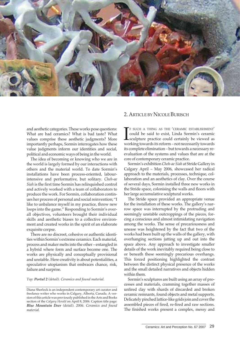

## 2. ARTICLE BY NICOLE BURISCH

and aesthetic categories. These works pose questions: What are bad ceramics? What is bad taste? What values comprise these aesthetic judgments? More importantly perhaps, Sormin interrogates how these value judgments inform our identities and social, political and economic ways of being in the world.

The idea of becoming or knowing who we are in the world is largely formed by our interactions with others and the material world. To date Sormin's installations have been process-oriented, labourintensive and performative, but solitary. *Cheh-ae Siah* is the first time Sormin has relinquished control and actively worked with a team of collaborators to produce the work. For Sormin, collaboration continues her process of personal and social reinvention; "I like to unbalance myself in my practice, throw new loops into the game." Responding to Sormin's overall objectives, volunteers brought their individual skills and aesthetic biases to a collective environment and created works in the spirit of an elaborate exquisite corpse.

There are no discreet, cohesive or authentic identities within Sormin's extreme ceramics. Each material, process and maker melts into the other – entangled in a hybrid where form and surface become one. The works are physically and conceptually provisional and unstable. Here creativity is about potentialities, a speculative utopianism that embraces chance, risk, failure and surprise.

*Top: Portal 2 (detail). Ceramics and found material.*

F SUCH A THING AS THE 'CERAMIC ESTABLISHMENT'<br>could be said to exist, Linda Sormin's ceramic<br>sculpture practice could certainly be viewed as<br>working towards its reform – not necessarily towards F SUCH A THING AS THE 'CERAMIC ESTABLISHMENT' could be said to exist, Linda Sormin's ceramic sculpture practice could certainly be viewed as its complete elimination – but towards a necessary reevaluation of the systems and values that are at the core of contemporary ceramic practice.

Sormin's exhibition *Cheh-ae Siah* at Stride Gallery in Calgary April – May 2006, showcased her radical approach to the materials, processes, technique, collaboration and an aesthetics of clay. Over the course of several days, Sormin installed three new works in the Stride space, colonising the walls and floors with her large accumulative sculptural works.

The Stride space provided an appropriate venue for the installation of these works. The gallery's narrow space was interrupted by the protruding and seemingly unstable outcroppings of the pieces, forcing a conscious and almost intimidating navigation among the works. The sense of precariousness and unease was heightened by the fact that two of the works had been built up the walls of the gallery, with overhanging sections jutting up and out into the space above. Any approach to investigate smaller details of the work inevitably required being close to or beneath these seemingly precarious overhangs. This forced positioning highlighted the contrast between the distinct physical presence of the works and the small detailed narratives and objects hidden within them.

Sormin's sculptures are built using an array of processes and materials, cramming together masses of unfired clay with shards of discarded and broken ceramic remnants, found objects and metal supports. Delicately pinched lattice-like grids join and cover the assembled pieces of fired, re-fired and raw sections. The finished works present a complex, messy and

Diana Sherlock is an independent contemporary art curator and freelance writer who works in Calgary, Alberta, Canada. A version of this article was previously published in the Arts and Books section of the *Calgary Herald* on April 8, 2006. Caption title page: *Blue Mountain Deer (detail). 2006. Ceramics and found material.*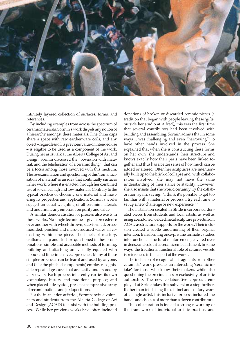

infinitely layered collection of surfaces, forms, and references.

By including examples from across the spectrum of ceramic materials, Sormin's work dispels any notion of a hierarchy amongst these materials. Fine china cups share a space with raw earthenware coils, and any object – regardless of its previous value or intended use – is eligible to be used as a component of the work. During her artist talk at the Alberta College of Art and Design, Sormin discussed the "obsession with material, and the fetishisation of a ceramic thing"1 that can be a focus among those involved with this medium. The re-examination and questioning of this 'romanticisation of material' is an idea that continually surfaces in her work, where it is enacted through her combined use of so-called high and low materials. Contrary to the typical practice of choosing one material and mastering its properties and applications, Sormin's works suggest an equal weighting of all ceramic materials and undermine any emphasis on purity and value.

A similar democratisation of process also exists in these works. No single technique is given precedence over another with wheel-thrown, slab-formed, pressmoulded, pinched and mass-produced wares all coexisting within one piece. The tenets of mastery, craftsmanship and skill are questioned in these combinations: simple and accessible methods of forming, building and attaching are visually equated with labour and time-intensive approaches. Many of these simpler processes can be learnt and used by anyone, and (like the pinched components) employ recognisable repeated gestures that are easily understood by all viewers. Each process inherently carries its own vocabulary, history and traditional purpose; and when placed side by side, present an impressive array of recombinations and juxtapositions.

For the installation at Stride, Sormin invited volunteers and students from the Alberta College of Art and Design (ACAD) to assist with the building process. While her previous works have often included donations of broken or discarded ceramic pieces (a tradition that began with people leaving these 'gifts' outside her studio at Alfred), this was the first time that several contributors had been involved with building and assembling. Sormin admits that in some ways it was challenging and even "harrowing"<sup>2</sup> to have other hands involved in the process. She explained that when she is constructing these forms on her own, she understands their structure and knows exactly how their parts have been linked together and thus has a better sense of how much can be added or altered. Often her sculptures are intentionally built up to the brink of collapse and, with collaborators involved, she may not have the same understanding of their stance or stability. However, she also insists that she would certainly try the collaboration again, saying, "I think it's possible to get too familiar with a material or process. I try each time to set up a new challenge or new experience."<sup>3</sup>

The installation created in Stride incorporated donated pieces from students and local artists, as well as using abandoned welded metal sculpture projects from ACAD as structural supports for the works. Their inclusion created a subtle undermining of their original intention: transforming once-pristine formalist studies into functional structural reinforcement, covered over in dense and colourful ceramic embellishment. In some ways, the traditional functional role of ceramic vessels is referenced in this aspect of the works.

The inclusion of recognisable fragments from other ceramists' work presents an interesting 'ceramic injoke' for those who know their makers, while also questioning the preciousness or exclusivity of artistic authorship. The new collaborative approach employed at Stride takes this subversion a step further. Rather than fetishising the distinct and solitary work of a single artist, this inclusive process included the hands and choices of more than a dozen contributors.

This collaboration is indeed a strong reworking of the framework of individual artistic practice, and